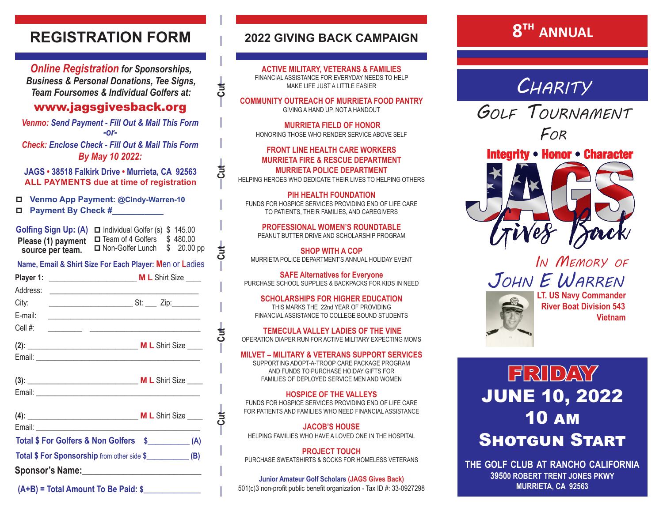## **REGISTRATION FORM**

*Online Registration for Sponsorships, Business & Personal Donations, Tee Signs, Team Foursomes & Individual Golfers at:*

## www.jagsgivesback.org

*Venmo: Send Payment - Fill Out & Mail This Form -or-Check: Enclose Check - Fill Out & Mail This Form*

*By May 10 2022:*

**JAGS • 38518 Falkirk Drive • Murrieta, CA 92563 ALL PAYMENTS due at time of registration**

p **Venmo App Payment: @Cindy-Warren-10**  p **Payment By Check #\_\_\_\_\_\_\_\_\_\_\_**

| Golfing Sign Up: (A) $\Box$ Individual Golfer (s) \$ 145.00 |                     |            |
|-------------------------------------------------------------|---------------------|------------|
| Please (1) payment                                          | □ Team of 4 Golfers | \$480.00   |
| source per team.                                            | Non-Golfer Lunch    | \$20.00~pp |

**Name, Email & Shirt Size For Each Player: M**en or **L**adies

| City:      | _ St: ___ Zip:______<br><u> 1980 - Andrea Andrew Maria Barat (</u> |
|------------|--------------------------------------------------------------------|
| E-mail:    | <u> 1980 - Andrea Station Barbara (h. 19</u>                       |
| Cell $#$ : | <u> 1989 - Jan James James Barbara, martxa</u>                     |
|            | <b>M L</b> Shirt Size                                              |
| Email:     | <u> 1980 - Antonio Alemania, prima pre</u>                         |

| $(3)$ : | <b>ML</b> Shirt Size |
|---------|----------------------|
| Email:  |                      |

| $(4)$ :                                                      | <b>ML</b> Shirt Size |  |
|--------------------------------------------------------------|----------------------|--|
| Email: _________________________                             |                      |  |
| Total \$ For Golfers & Non Golfers \$ (A)                    |                      |  |
| Total \$ For Sponsorship from other side \$______________(B) |                      |  |
| Sponsor's Name: Sponsor's Name:                              |                      |  |

 **(A+B) = Total Amount To Be Paid: \$\_\_\_\_\_\_\_\_\_\_\_\_\_\_\_**

## **2022 GIVING BACK CAMPAIGN**

**ACTIVE MILITARY, VETERANS & FAMILIES** FINANCIAL ASSISTANCE FOR EVERYDAY NEEDS TO HELP MAKE LIFE JUST A LITTLE FASIER

**COMMUNITY OUTREACH OF MURRIETA FOOD PANTRY** GIVING A HAND UP, NOT A HANDOUT

 **MURRIETA FIELD OF HONOR**  HONORING THOSE WHO RENDER SERVICE ABOVE SELF

#### **FRONT LINE HEALTH CARE WORKERS MURRIETA FIRE & RESCUE DEPARTMENT MURRIETA POLICE DEPARTMENT**

HELPING HEROES WHO DEDICATE THEIR LIVES TO HELPING OTHERS

**PIH HEALTH FOUNDATION** FUNDS FOR HOSPICE SERVICES PROVIDING END OF LIFE CARE TO PATIENTS, THEIR FAMILIES, AND CAREGIVERS

**PROFESSIONAL WOMEN'S ROUNDTABLE** PEANUT BUTTER DRIVE AND SCHOLARSHIP PROGRAM

**SHOP WITH A COP** MURRIETA POLICE DEPARTMENT'S ANNUAL HOLIDAY EVENT

**SAFE Alternatives for Everyone** PURCHASE SCHOOL SUPPLIES & BACKPACKS FOR KIDS IN NEED

**U**<br> 1<br> 1<br> 1<br> <del>⊥</del>

 $\overline{5}$ 

**FO** │ │ │ →FO │ │ │ │ →FO │ │ │ │ →FO │ │ │ │ │ │

 $\frac{1}{2}$ 

 $rac{1}{\sqrt{2}}$ 

**SCHOLARSHIPS FOR HIGHER EDUCATION** THIS MARKS THE 22nd YEAR OF PROVIDING FINANCIAL ASSISTANCE TO COLLEGE BOUND STUDENTS

**TEMECULA VALLEY LADIES OF THE VINE** OPERATION DIAPER RUN FOR ACTIVE MILITARY EXPECTING MOMS

#### **MILVET – MILITARY & VETERANS SUPPORT SERVICES**

SUPPORTING ADOPT-A-TROOP CARE PACKAGE PROGRAM AND FUNDS TO PURCHASE HOIDAY GIFTS FOR FAMILIES OF DEPLOYED SERVICE MEN AND WOMEN

**HOSPICE OF THE VALLEYS** FUNDS FOR HOSPICE SERVICES PROVIDING END OF LIFE CARE FOR PATIENTS AND FAMILIES WHO NEED FINANCIAL ASSISTANCE

**JACOB'S HOUSE** HELPING FAMILIES WHO HAVE A LOVED ONE IN THE HOSPITAL

**PROJECT TOUCH** PURCHASE SWEATSHIRTS & SOCKS FOR HOMELESS VETERANS

**Junior Amateur Golf Scholars (JAGS Gives Back)** 501(c)3 non-profit public benefit organization - Tax ID #: 33-0927298

# **8th ANNUAL**

*Charity*

*Golf Tournament For*



# *In Memory of John E Warren* **LT. US Navy Commander**



 **River Boat Division 543 Vietnam**

 $F21D/2V$ JUNE 10, 2022 10 am **SHOTGUN START** 

**the golf club at rancho california 39500 ROBERT TRENT JONES PKWY MURRIETA, CA 92563**